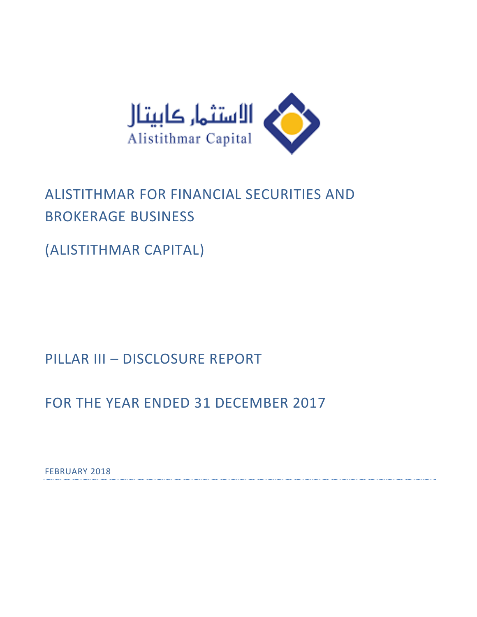

# ALISTITHMAR FOR FINANCIAL SECURITIES AND BROKERAGE BUSINESS

(ALISTITHMAR CAPITAL)

PILLAR III – DISCLOSURE REPORT

FOR THE YEAR ENDED 31 DECEMBER 2017

FEBRUARY 2018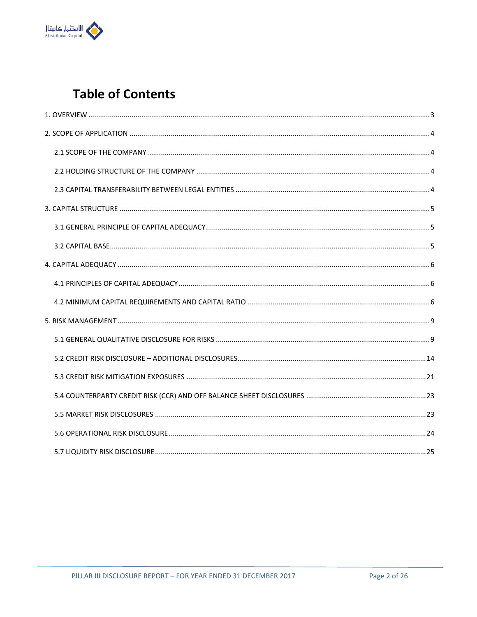

## **Table of Contents**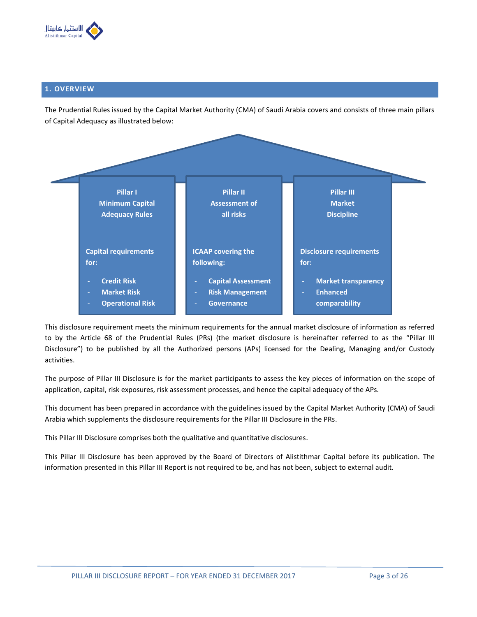

## <span id="page-2-0"></span>**1. OVERVIEW**

The Prudential Rules issued by the Capital Market Authority (CMA) of Saudi Arabia covers and consists of three main pillars of Capital Adequacy as illustrated below:



This disclosure requirement meets the minimum requirements for the annual market disclosure of information as referred to by the Article 68 of the Prudential Rules (PRs) (the market disclosure is hereinafter referred to as the "Pillar III Disclosure") to be published by all the Authorized persons (APs) licensed for the Dealing, Managing and/or Custody activities.

The purpose of Pillar III Disclosure is for the market participants to assess the key pieces of information on the scope of application, capital, risk exposures, risk assessment processes, and hence the capital adequacy of the APs.

This document has been prepared in accordance with the guidelines issued by the Capital Market Authority (CMA) of Saudi Arabia which supplements the disclosure requirements for the Pillar III Disclosure in the PRs.

This Pillar III Disclosure comprises both the qualitative and quantitative disclosures.

This Pillar III Disclosure has been approved by the Board of Directors of Alistithmar Capital before its publication. The information presented in this Pillar III Report is not required to be, and has not been, subject to external audit.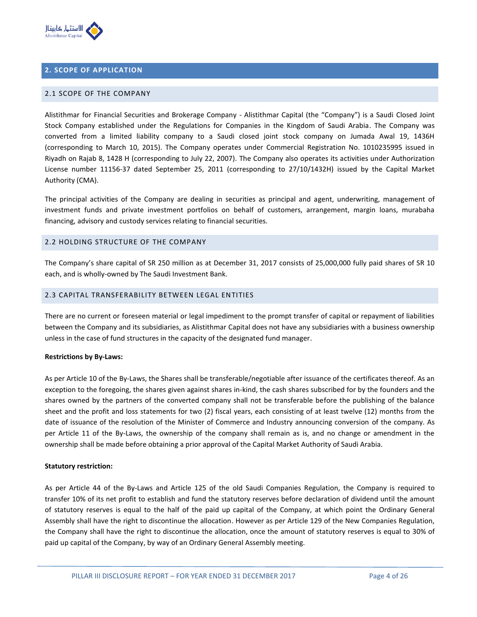

## <span id="page-3-0"></span>**2. SCOPE OF APPLICATION**

#### <span id="page-3-1"></span>2.1 SCOPE OF THE COMPANY

Alistithmar for Financial Securities and Brokerage Company - Alistithmar Capital (the "Company") is a Saudi Closed Joint Stock Company established under the Regulations for Companies in the Kingdom of Saudi Arabia. The Company was converted from a limited liability company to a Saudi closed joint stock company on Jumada Awal 19, 1436H (corresponding to March 10, 2015). The Company operates under Commercial Registration No. 1010235995 issued in Riyadh on Rajab 8, 1428 H (corresponding to July 22, 2007). The Company also operates its activities under Authorization License number 11156-37 dated September 25, 2011 (corresponding to 27/10/1432H) issued by the Capital Market Authority (CMA).

The principal activities of the Company are dealing in securities as principal and agent, underwriting, management of investment funds and private investment portfolios on behalf of customers, arrangement, margin loans, murabaha financing, advisory and custody services relating to financial securities.

#### <span id="page-3-2"></span>2.2 HOLDING STRUCTURE OF THE COMPANY

The Company's share capital of SR 250 million as at December 31, 2017 consists of 25,000,000 fully paid shares of SR 10 each, and is wholly-owned by The Saudi Investment Bank.

## <span id="page-3-3"></span>2.3 CAPITAL TRANSFERABILITY BETWEEN LEGAL ENTITIES

There are no current or foreseen material or legal impediment to the prompt transfer of capital or repayment of liabilities between the Company and its subsidiaries, as Alistithmar Capital does not have any subsidiaries with a business ownership unless in the case of fund structures in the capacity of the designated fund manager.

#### **Restrictions by By-Laws:**

As per Article 10 of the By-Laws, the Shares shall be transferable/negotiable after issuance of the certificates thereof. As an exception to the foregoing, the shares given against shares in-kind, the cash shares subscribed for by the founders and the shares owned by the partners of the converted company shall not be transferable before the publishing of the balance sheet and the profit and loss statements for two (2) fiscal years, each consisting of at least twelve (12) months from the date of issuance of the resolution of the Minister of Commerce and Industry announcing conversion of the company. As per Article 11 of the By-Laws, the ownership of the company shall remain as is, and no change or amendment in the ownership shall be made before obtaining a prior approval of the Capital Market Authority of Saudi Arabia.

#### **Statutory restriction:**

As per Article 44 of the By-Laws and Article 125 of the old Saudi Companies Regulation, the Company is required to transfer 10% of its net profit to establish and fund the statutory reserves before declaration of dividend until the amount of statutory reserves is equal to the half of the paid up capital of the Company, at which point the Ordinary General Assembly shall have the right to discontinue the allocation. However as per Article 129 of the New Companies Regulation, the Company shall have the right to discontinue the allocation, once the amount of statutory reserves is equal to 30% of paid up capital of the Company, by way of an Ordinary General Assembly meeting.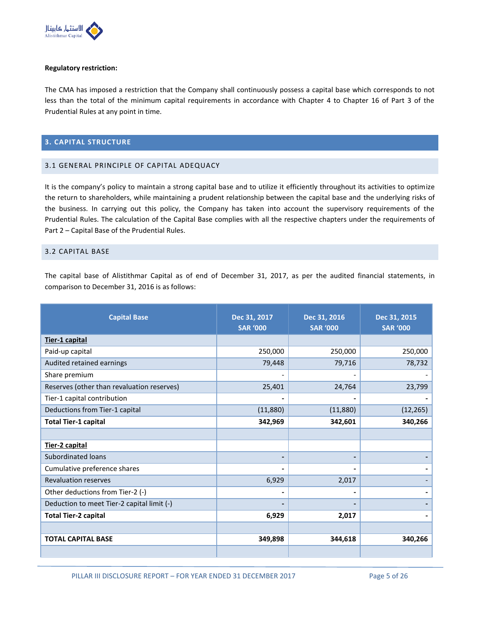

#### **Regulatory restriction:**

The CMA has imposed a restriction that the Company shall continuously possess a capital base which corresponds to not less than the total of the minimum capital requirements in accordance with Chapter 4 to Chapter 16 of Part 3 of the Prudential Rules at any point in time.

### <span id="page-4-0"></span>**3. CAPITAL STRUCTURE**

## <span id="page-4-1"></span>3.1 GENERAL PRINCIPLE OF CAPITAL ADEQUACY

It is the company's policy to maintain a strong capital base and to utilize it efficiently throughout its activities to optimize the return to shareholders, while maintaining a prudent relationship between the capital base and the underlying risks of the business. In carrying out this policy, the Company has taken into account the supervisory requirements of the Prudential Rules. The calculation of the Capital Base complies with all the respective chapters under the requirements of Part 2 – Capital Base of the Prudential Rules.

### <span id="page-4-2"></span>3.2 CAPITAL BASE

The capital base of Alistithmar Capital as of end of December 31, 2017, as per the audited financial statements, in comparison to December 31, 2016 is as follows:

| <b>Capital Base</b>                        | Dec 31, 2017<br><b>SAR '000</b> | Dec 31, 2016<br><b>SAR '000</b> | Dec 31, 2015<br><b>SAR '000</b> |
|--------------------------------------------|---------------------------------|---------------------------------|---------------------------------|
| Tier-1 capital                             |                                 |                                 |                                 |
| Paid-up capital                            | 250,000                         | 250,000                         | 250,000                         |
| Audited retained earnings                  | 79,448                          | 79,716                          | 78,732                          |
| Share premium                              |                                 |                                 |                                 |
| Reserves (other than revaluation reserves) | 25,401                          | 24,764                          | 23,799                          |
| Tier-1 capital contribution                |                                 |                                 |                                 |
| Deductions from Tier-1 capital             | (11,880)                        | (11,880)                        | (12, 265)                       |
| <b>Total Tier-1 capital</b>                | 342,969                         | 342,601                         | 340,266                         |
|                                            |                                 |                                 |                                 |
| Tier-2 capital                             |                                 |                                 |                                 |
| <b>Subordinated loans</b>                  | $\qquad \qquad \blacksquare$    |                                 |                                 |
| Cumulative preference shares               | -                               |                                 |                                 |
| <b>Revaluation reserves</b>                | 6,929                           | 2,017                           |                                 |
| Other deductions from Tier-2 (-)           |                                 |                                 |                                 |
| Deduction to meet Tier-2 capital limit (-) | $\overline{\phantom{0}}$        |                                 |                                 |
| <b>Total Tier-2 capital</b>                | 6,929                           | 2,017                           |                                 |
|                                            |                                 |                                 |                                 |
| <b>TOTAL CAPITAL BASE</b>                  | 349,898                         | 344,618                         | 340,266                         |
|                                            |                                 |                                 |                                 |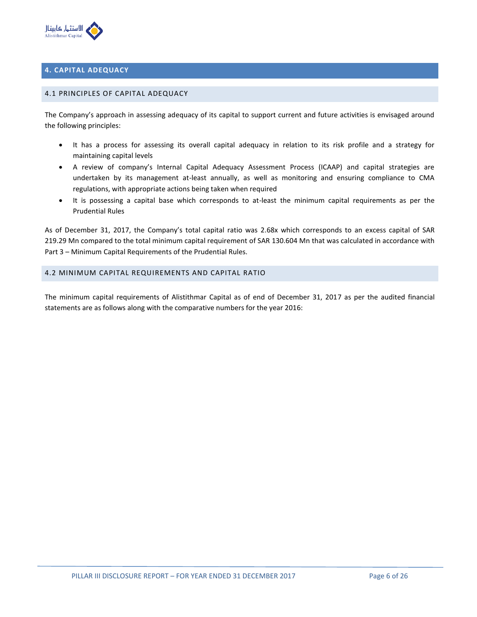

## <span id="page-5-0"></span>**4. CAPITAL ADEQUACY**

#### <span id="page-5-1"></span>4.1 PRINCIPLES OF CAPITAL ADEQUACY

The Company's approach in assessing adequacy of its capital to support current and future activities is envisaged around the following principles:

- It has a process for assessing its overall capital adequacy in relation to its risk profile and a strategy for maintaining capital levels
- A review of company's Internal Capital Adequacy Assessment Process (ICAAP) and capital strategies are undertaken by its management at-least annually, as well as monitoring and ensuring compliance to CMA regulations, with appropriate actions being taken when required
- It is possessing a capital base which corresponds to at-least the minimum capital requirements as per the Prudential Rules

As of December 31, 2017, the Company's total capital ratio was 2.68x which corresponds to an excess capital of SAR 219.29 Mn compared to the total minimum capital requirement of SAR 130.604 Mn that was calculated in accordance with Part 3 – Minimum Capital Requirements of the Prudential Rules.

## <span id="page-5-2"></span>4.2 MINIMUM CAPITAL REQUIREMENTS AND CAPITAL RATIO

The minimum capital requirements of Alistithmar Capital as of end of December 31, 2017 as per the audited financial statements are as follows along with the comparative numbers for the year 2016: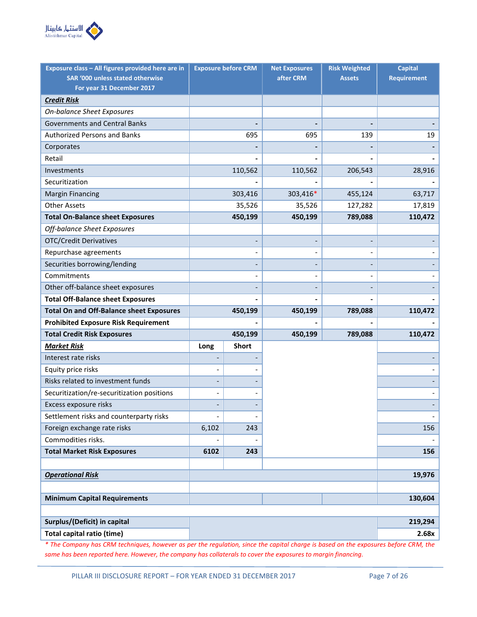

| Exposure class - All figures provided here are in |                          | <b>Exposure before CRM</b>   | <b>Net Exposures</b> | <b>Risk Weighted</b> | <b>Capital</b>     |
|---------------------------------------------------|--------------------------|------------------------------|----------------------|----------------------|--------------------|
| SAR '000 unless stated otherwise                  |                          |                              | after CRM            | <b>Assets</b>        | <b>Requirement</b> |
| For year 31 December 2017                         |                          |                              |                      |                      |                    |
| <b>Credit Risk</b>                                |                          |                              |                      |                      |                    |
| On-balance Sheet Exposures                        |                          |                              |                      |                      |                    |
| <b>Governments and Central Banks</b>              |                          |                              |                      |                      |                    |
| <b>Authorized Persons and Banks</b>               |                          | 695                          | 695                  | 139                  | 19                 |
| Corporates                                        |                          |                              |                      |                      |                    |
| Retail                                            |                          |                              |                      |                      |                    |
| Investments                                       |                          | 110,562                      | 110,562              | 206,543              | 28,916             |
| Securitization                                    |                          |                              |                      |                      |                    |
| <b>Margin Financing</b>                           |                          | 303,416                      | 303,416*             | 455,124              | 63,717             |
| <b>Other Assets</b>                               |                          | 35,526                       | 35,526               | 127,282              | 17,819             |
| <b>Total On-Balance sheet Exposures</b>           |                          | 450,199                      | 450,199              | 789,088              | 110,472            |
| Off-balance Sheet Exposures                       |                          |                              |                      |                      |                    |
| <b>OTC/Credit Derivatives</b>                     |                          |                              |                      |                      |                    |
| Repurchase agreements                             |                          | $\qquad \qquad -$            |                      |                      |                    |
| Securities borrowing/lending                      |                          | $\qquad \qquad \blacksquare$ |                      |                      |                    |
| Commitments                                       |                          | $\overline{\phantom{0}}$     |                      |                      |                    |
| Other off-balance sheet exposures                 |                          |                              |                      |                      |                    |
| <b>Total Off-Balance sheet Exposures</b>          |                          |                              |                      |                      |                    |
| <b>Total On and Off-Balance sheet Exposures</b>   |                          | 450,199                      | 450,199              | 789,088              | 110,472            |
| <b>Prohibited Exposure Risk Requirement</b>       |                          |                              |                      |                      |                    |
| <b>Total Credit Risk Exposures</b>                |                          | 450,199                      | 450,199              | 789,088              | 110,472            |
| <b>Market Risk</b>                                | Long                     | <b>Short</b>                 |                      |                      |                    |
| Interest rate risks                               |                          |                              |                      |                      |                    |
| Equity price risks                                |                          |                              |                      |                      |                    |
| Risks related to investment funds                 |                          |                              |                      |                      |                    |
| Securitization/re-securitization positions        |                          |                              |                      |                      |                    |
| Excess exposure risks                             |                          |                              |                      |                      |                    |
| Settlement risks and counterparty risks           | $\overline{\phantom{0}}$ | $\qquad \qquad -$            |                      |                      |                    |
| Foreign exchange rate risks                       | 6,102                    | 243                          |                      |                      | 156                |
| Commodities risks.                                |                          |                              |                      |                      |                    |
| <b>Total Market Risk Exposures</b>                | 6102                     | 243                          |                      |                      | 156                |
|                                                   |                          |                              |                      |                      |                    |
| <b>Operational Risk</b>                           |                          |                              |                      |                      | 19,976             |
|                                                   |                          |                              |                      |                      |                    |
| <b>Minimum Capital Requirements</b>               |                          |                              |                      |                      | 130,604            |
|                                                   |                          |                              |                      |                      |                    |
| Surplus/(Deficit) in capital                      |                          |                              |                      |                      | 219,294            |
| <b>Total capital ratio (time)</b>                 |                          |                              |                      |                      | 2.68x              |

*\* The Company has CRM techniques, however as per the regulation, since the capital charge is based on the exposures before CRM, the same has been reported here. However, the company has collaterals to cover the exposures to margin financing.*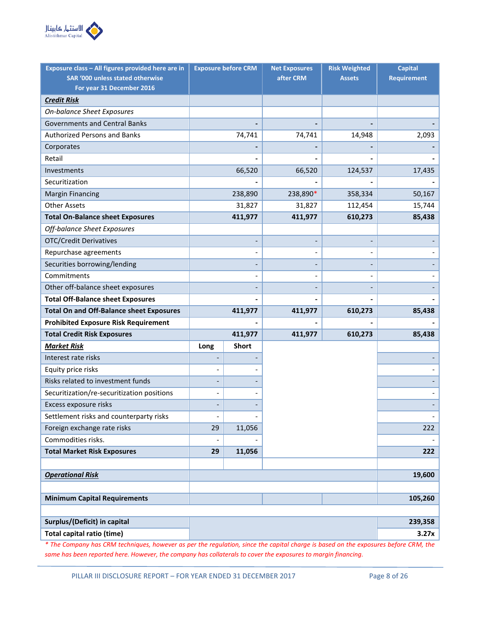

| Exposure class - All figures provided here are in       |                | <b>Exposure before CRM</b> | <b>Net Exposures</b> | <b>Risk Weighted</b> | <b>Capital</b>     |
|---------------------------------------------------------|----------------|----------------------------|----------------------|----------------------|--------------------|
| SAR '000 unless stated otherwise                        |                |                            | after CRM            | <b>Assets</b>        | <b>Requirement</b> |
| For year 31 December 2016                               |                |                            |                      |                      |                    |
| <b>Credit Risk</b><br><b>On-balance Sheet Exposures</b> |                |                            |                      |                      |                    |
| <b>Governments and Central Banks</b>                    |                |                            |                      |                      |                    |
| <b>Authorized Persons and Banks</b>                     |                | 74,741                     |                      |                      |                    |
|                                                         |                |                            | 74,741               | 14,948               | 2,093              |
| Corporates<br>Retail                                    |                |                            |                      |                      |                    |
|                                                         |                |                            |                      |                      |                    |
| Investments<br>Securitization                           |                | 66,520                     | 66,520               | 124,537              | 17,435             |
|                                                         |                |                            |                      |                      |                    |
| <b>Margin Financing</b>                                 |                | 238,890                    | 238,890*             | 358,334              | 50,167             |
| <b>Other Assets</b>                                     |                | 31,827                     | 31,827               | 112,454              | 15,744             |
| <b>Total On-Balance sheet Exposures</b>                 |                | 411,977                    | 411,977              | 610,273              | 85,438             |
| Off-balance Sheet Exposures                             |                |                            |                      |                      |                    |
| <b>OTC/Credit Derivatives</b>                           |                |                            |                      |                      |                    |
| Repurchase agreements                                   |                |                            |                      |                      |                    |
| Securities borrowing/lending                            |                |                            |                      |                      |                    |
| Commitments                                             |                |                            |                      |                      |                    |
| Other off-balance sheet exposures                       |                |                            |                      |                      |                    |
| <b>Total Off-Balance sheet Exposures</b>                |                |                            |                      |                      |                    |
| <b>Total On and Off-Balance sheet Exposures</b>         |                | 411,977                    | 411,977              | 610,273              | 85,438             |
| <b>Prohibited Exposure Risk Requirement</b>             |                |                            |                      |                      |                    |
| <b>Total Credit Risk Exposures</b>                      |                | 411,977                    | 411,977              | 610,273              | 85,438             |
| <b>Market Risk</b>                                      | Long           | <b>Short</b>               |                      |                      |                    |
| Interest rate risks                                     |                |                            |                      |                      |                    |
| Equity price risks                                      |                |                            |                      |                      |                    |
| Risks related to investment funds                       |                |                            |                      |                      |                    |
| Securitization/re-securitization positions              |                |                            |                      |                      |                    |
| Excess exposure risks                                   |                |                            |                      |                      |                    |
| Settlement risks and counterparty risks                 | $\overline{a}$ | $\qquad \qquad -$          |                      |                      |                    |
| Foreign exchange rate risks                             | 29             | 11,056                     |                      |                      | 222                |
| Commodities risks.                                      |                |                            |                      |                      |                    |
| <b>Total Market Risk Exposures</b>                      | 29             | 11,056                     |                      |                      | 222                |
|                                                         |                |                            |                      |                      |                    |
| <b>Operational Risk</b>                                 |                |                            |                      |                      | 19,600             |
|                                                         |                |                            |                      |                      |                    |
| <b>Minimum Capital Requirements</b>                     |                |                            |                      |                      | 105,260            |
|                                                         |                |                            |                      |                      |                    |
| Surplus/(Deficit) in capital                            |                |                            |                      |                      | 239,358            |
| <b>Total capital ratio (time)</b>                       |                |                            |                      |                      | 3.27x              |

*\* The Company has CRM techniques, however as per the regulation, since the capital charge is based on the exposures before CRM, the same has been reported here. However, the company has collaterals to cover the exposures to margin financing.*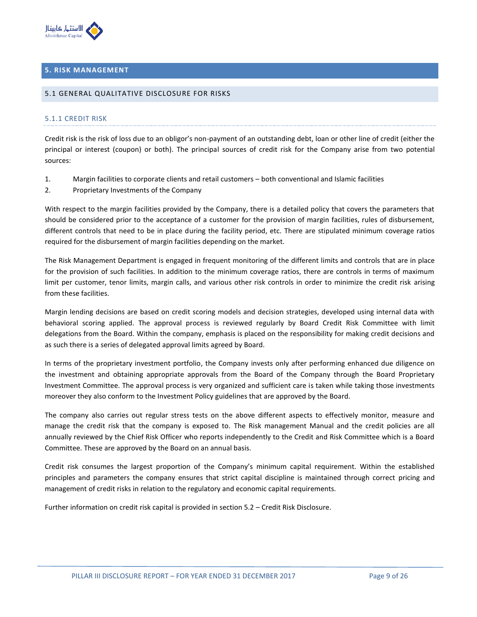

## <span id="page-8-0"></span>**5. RISK MANAGEMENT**

#### <span id="page-8-1"></span>5.1 GENERAL QUALITATIVE DISCLOSURE FOR RISKS

#### 5.1.1 CREDIT RISK

Credit risk is the risk of loss due to an obligor's non-payment of an outstanding debt, loan or other line of credit (either the principal or interest (coupon) or both). The principal sources of credit risk for the Company arise from two potential sources:

- 1. Margin facilities to corporate clients and retail customers both conventional and Islamic facilities
- 2. Proprietary Investments of the Company

With respect to the margin facilities provided by the Company, there is a detailed policy that covers the parameters that should be considered prior to the acceptance of a customer for the provision of margin facilities, rules of disbursement, different controls that need to be in place during the facility period, etc. There are stipulated minimum coverage ratios required for the disbursement of margin facilities depending on the market.

The Risk Management Department is engaged in frequent monitoring of the different limits and controls that are in place for the provision of such facilities. In addition to the minimum coverage ratios, there are controls in terms of maximum limit per customer, tenor limits, margin calls, and various other risk controls in order to minimize the credit risk arising from these facilities.

Margin lending decisions are based on credit scoring models and decision strategies, developed using internal data with behavioral scoring applied. The approval process is reviewed regularly by Board Credit Risk Committee with limit delegations from the Board. Within the company, emphasis is placed on the responsibility for making credit decisions and as such there is a series of delegated approval limits agreed by Board.

In terms of the proprietary investment portfolio, the Company invests only after performing enhanced due diligence on the investment and obtaining appropriate approvals from the Board of the Company through the Board Proprietary Investment Committee. The approval process is very organized and sufficient care is taken while taking those investments moreover they also conform to the Investment Policy guidelines that are approved by the Board.

The company also carries out regular stress tests on the above different aspects to effectively monitor, measure and manage the credit risk that the company is exposed to. The Risk management Manual and the credit policies are all annually reviewed by the Chief Risk Officer who reports independently to the Credit and Risk Committee which is a Board Committee. These are approved by the Board on an annual basis.

Credit risk consumes the largest proportion of the Company's minimum capital requirement. Within the established principles and parameters the company ensures that strict capital discipline is maintained through correct pricing and management of credit risks in relation to the regulatory and economic capital requirements.

Further information on credit risk capital is provided in section 5.2 – Credit Risk Disclosure.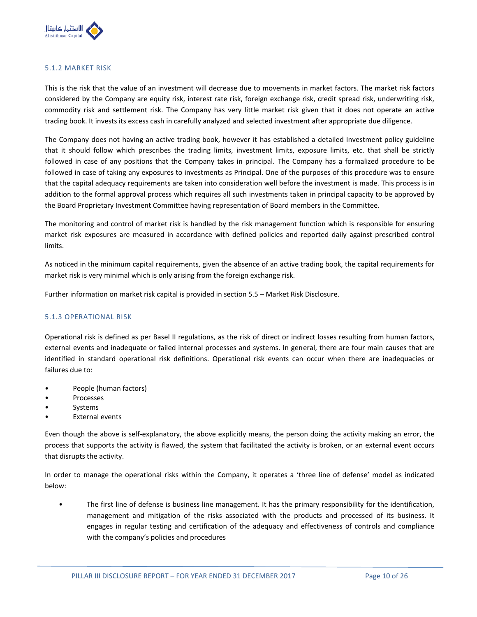

## 5.1.2 MARKET RISK

This is the risk that the value of an investment will decrease due to movements in market factors. The market risk factors considered by the Company are equity risk, interest rate risk, foreign exchange risk, credit spread risk, underwriting risk, commodity risk and settlement risk. The Company has very little market risk given that it does not operate an active trading book. It invests its excess cash in carefully analyzed and selected investment after appropriate due diligence.

The Company does not having an active trading book, however it has established a detailed Investment policy guideline that it should follow which prescribes the trading limits, investment limits, exposure limits, etc. that shall be strictly followed in case of any positions that the Company takes in principal. The Company has a formalized procedure to be followed in case of taking any exposures to investments as Principal. One of the purposes of this procedure was to ensure that the capital adequacy requirements are taken into consideration well before the investment is made. This process is in addition to the formal approval process which requires all such investments taken in principal capacity to be approved by the Board Proprietary Investment Committee having representation of Board members in the Committee.

The monitoring and control of market risk is handled by the risk management function which is responsible for ensuring market risk exposures are measured in accordance with defined policies and reported daily against prescribed control limits.

As noticed in the minimum capital requirements, given the absence of an active trading book, the capital requirements for market risk is very minimal which is only arising from the foreign exchange risk.

Further information on market risk capital is provided in section 5.5 – Market Risk Disclosure.

#### 5.1.3 OPERATIONAL RISK

Operational risk is defined as per Basel II regulations, as the risk of direct or indirect losses resulting from human factors, external events and inadequate or failed internal processes and systems. In general, there are four main causes that are identified in standard operational risk definitions. Operational risk events can occur when there are inadequacies or failures due to:

- People (human factors)
- Processes
- **Systems**
- **External events**

Even though the above is self-explanatory, the above explicitly means, the person doing the activity making an error, the process that supports the activity is flawed, the system that facilitated the activity is broken, or an external event occurs that disrupts the activity.

In order to manage the operational risks within the Company, it operates a 'three line of defense' model as indicated below:

• The first line of defense is business line management. It has the primary responsibility for the identification, management and mitigation of the risks associated with the products and processed of its business. It engages in regular testing and certification of the adequacy and effectiveness of controls and compliance with the company's policies and procedures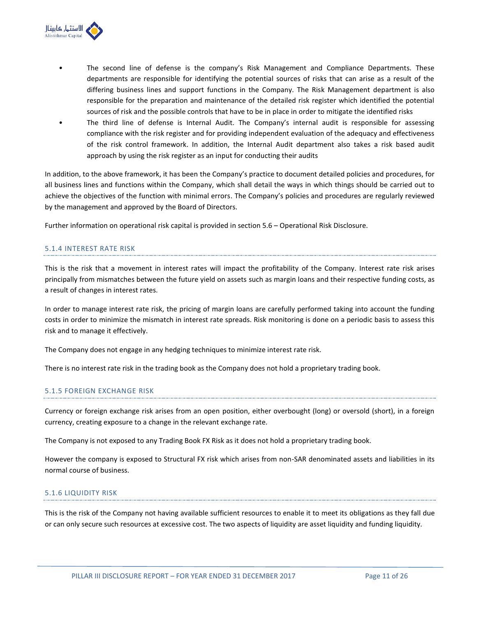

- The second line of defense is the company's Risk Management and Compliance Departments. These departments are responsible for identifying the potential sources of risks that can arise as a result of the differing business lines and support functions in the Company. The Risk Management department is also responsible for the preparation and maintenance of the detailed risk register which identified the potential sources of risk and the possible controls that have to be in place in order to mitigate the identified risks
- The third line of defense is Internal Audit. The Company's internal audit is responsible for assessing compliance with the risk register and for providing independent evaluation of the adequacy and effectiveness of the risk control framework. In addition, the Internal Audit department also takes a risk based audit approach by using the risk register as an input for conducting their audits

In addition, to the above framework, it has been the Company's practice to document detailed policies and procedures, for all business lines and functions within the Company, which shall detail the ways in which things should be carried out to achieve the objectives of the function with minimal errors. The Company's policies and procedures are regularly reviewed by the management and approved by the Board of Directors.

Further information on operational risk capital is provided in section 5.6 – Operational Risk Disclosure.

#### 5.1.4 INTEREST RATE RISK

This is the risk that a movement in interest rates will impact the profitability of the Company. Interest rate risk arises principally from mismatches between the future yield on assets such as margin loans and their respective funding costs, as a result of changes in interest rates.

In order to manage interest rate risk, the pricing of margin loans are carefully performed taking into account the funding costs in order to minimize the mismatch in interest rate spreads. Risk monitoring is done on a periodic basis to assess this risk and to manage it effectively.

The Company does not engage in any hedging techniques to minimize interest rate risk.

There is no interest rate risk in the trading book as the Company does not hold a proprietary trading book.

#### 5.1.5 FOREIGN EXCHANGE RISK

Currency or foreign exchange risk arises from an open position, either overbought (long) or oversold (short), in a foreign currency, creating exposure to a change in the relevant exchange rate.

The Company is not exposed to any Trading Book FX Risk as it does not hold a proprietary trading book.

However the company is exposed to Structural FX risk which arises from non-SAR denominated assets and liabilities in its normal course of business.

## 5.1.6 LIQUIDITY RISK

This is the risk of the Company not having available sufficient resources to enable it to meet its obligations as they fall due or can only secure such resources at excessive cost. The two aspects of liquidity are asset liquidity and funding liquidity.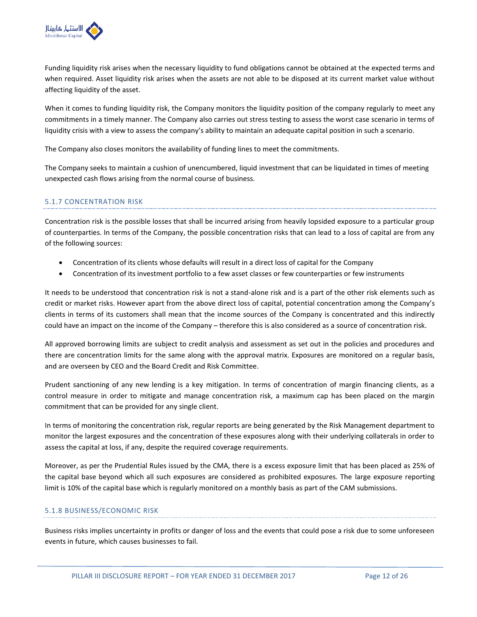

Funding liquidity risk arises when the necessary liquidity to fund obligations cannot be obtained at the expected terms and when required. Asset liquidity risk arises when the assets are not able to be disposed at its current market value without affecting liquidity of the asset.

When it comes to funding liquidity risk, the Company monitors the liquidity position of the company regularly to meet any commitments in a timely manner. The Company also carries out stress testing to assess the worst case scenario in terms of liquidity crisis with a view to assess the company's ability to maintain an adequate capital position in such a scenario.

The Company also closes monitors the availability of funding lines to meet the commitments.

The Company seeks to maintain a cushion of unencumbered, liquid investment that can be liquidated in times of meeting unexpected cash flows arising from the normal course of business.

## 5.1.7 CONCENTRATION RISK

Concentration risk is the possible losses that shall be incurred arising from heavily lopsided exposure to a particular group of counterparties. In terms of the Company, the possible concentration risks that can lead to a loss of capital are from any of the following sources:

- Concentration of its clients whose defaults will result in a direct loss of capital for the Company
- Concentration of its investment portfolio to a few asset classes or few counterparties or few instruments

It needs to be understood that concentration risk is not a stand-alone risk and is a part of the other risk elements such as credit or market risks. However apart from the above direct loss of capital, potential concentration among the Company's clients in terms of its customers shall mean that the income sources of the Company is concentrated and this indirectly could have an impact on the income of the Company – therefore this is also considered as a source of concentration risk.

All approved borrowing limits are subject to credit analysis and assessment as set out in the policies and procedures and there are concentration limits for the same along with the approval matrix. Exposures are monitored on a regular basis, and are overseen by CEO and the Board Credit and Risk Committee.

Prudent sanctioning of any new lending is a key mitigation. In terms of concentration of margin financing clients, as a control measure in order to mitigate and manage concentration risk, a maximum cap has been placed on the margin commitment that can be provided for any single client.

In terms of monitoring the concentration risk, regular reports are being generated by the Risk Management department to monitor the largest exposures and the concentration of these exposures along with their underlying collaterals in order to assess the capital at loss, if any, despite the required coverage requirements.

Moreover, as per the Prudential Rules issued by the CMA, there is a excess exposure limit that has been placed as 25% of the capital base beyond which all such exposures are considered as prohibited exposures. The large exposure reporting limit is 10% of the capital base which is regularly monitored on a monthly basis as part of the CAM submissions.

## 5.1.8 BUSINESS/ECONOMIC RISK

Business risks implies uncertainty in profits or danger of loss and the events that could pose a risk due to some unforeseen events in future, which causes businesses to fail.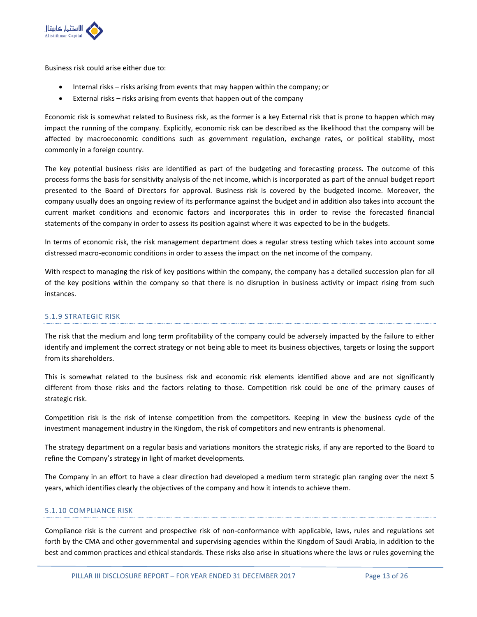

Business risk could arise either due to:

- Internal risks risks arising from events that may happen within the company; or
- External risks risks arising from events that happen out of the company

Economic risk is somewhat related to Business risk, as the former is a key External risk that is prone to happen which may impact the running of the company. Explicitly, economic risk can be described as the likelihood that the company will be affected by macroeconomic conditions such as government regulation, exchange rates, or political stability, most commonly in a foreign country.

The key potential business risks are identified as part of the budgeting and forecasting process. The outcome of this process forms the basis for sensitivity analysis of the net income, which is incorporated as part of the annual budget report presented to the Board of Directors for approval. Business risk is covered by the budgeted income. Moreover, the company usually does an ongoing review of its performance against the budget and in addition also takes into account the current market conditions and economic factors and incorporates this in order to revise the forecasted financial statements of the company in order to assess its position against where it was expected to be in the budgets.

In terms of economic risk, the risk management department does a regular stress testing which takes into account some distressed macro-economic conditions in order to assess the impact on the net income of the company.

With respect to managing the risk of key positions within the company, the company has a detailed succession plan for all of the key positions within the company so that there is no disruption in business activity or impact rising from such instances.

## 5.1.9 STRATEGIC RISK

The risk that the medium and long term profitability of the company could be adversely impacted by the failure to either identify and implement the correct strategy or not being able to meet its business objectives, targets or losing the support from its shareholders.

This is somewhat related to the business risk and economic risk elements identified above and are not significantly different from those risks and the factors relating to those. Competition risk could be one of the primary causes of strategic risk.

Competition risk is the risk of intense competition from the competitors. Keeping in view the business cycle of the investment management industry in the Kingdom, the risk of competitors and new entrants is phenomenal.

The strategy department on a regular basis and variations monitors the strategic risks, if any are reported to the Board to refine the Company's strategy in light of market developments.

The Company in an effort to have a clear direction had developed a medium term strategic plan ranging over the next 5 years, which identifies clearly the objectives of the company and how it intends to achieve them.

## 5.1.10 COMPLIANCE RISK

Compliance risk is the current and prospective risk of non-conformance with applicable, laws, rules and regulations set forth by the CMA and other governmental and supervising agencies within the Kingdom of Saudi Arabia, in addition to the best and common practices and ethical standards. These risks also arise in situations where the laws or rules governing the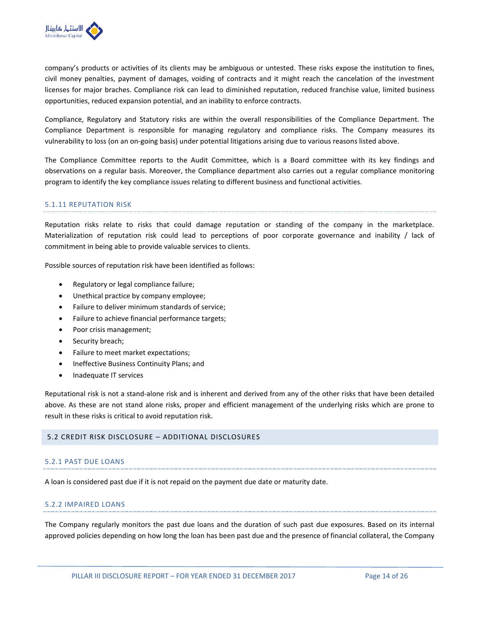

company's products or activities of its clients may be ambiguous or untested. These risks expose the institution to fines, civil money penalties, payment of damages, voiding of contracts and it might reach the cancelation of the investment licenses for major braches. Compliance risk can lead to diminished reputation, reduced franchise value, limited business opportunities, reduced expansion potential, and an inability to enforce contracts.

Compliance, Regulatory and Statutory risks are within the overall responsibilities of the Compliance Department. The Compliance Department is responsible for managing regulatory and compliance risks. The Company measures its vulnerability to loss (on an on-going basis) under potential litigations arising due to various reasons listed above.

The Compliance Committee reports to the Audit Committee, which is a Board committee with its key findings and observations on a regular basis. Moreover, the Compliance department also carries out a regular compliance monitoring program to identify the key compliance issues relating to different business and functional activities.

#### 5.1.11 REPUTATION RISK

Reputation risks relate to risks that could damage reputation or standing of the company in the marketplace. Materialization of reputation risk could lead to perceptions of poor corporate governance and inability / lack of commitment in being able to provide valuable services to clients.

Possible sources of reputation risk have been identified as follows:

- Regulatory or legal compliance failure;
- Unethical practice by company employee;
- Failure to deliver minimum standards of service;
- Failure to achieve financial performance targets;
- Poor crisis management;
- Security breach;
- Failure to meet market expectations;
- Ineffective Business Continuity Plans; and
- Inadequate IT services

Reputational risk is not a stand-alone risk and is inherent and derived from any of the other risks that have been detailed above. As these are not stand alone risks, proper and efficient management of the underlying risks which are prone to result in these risks is critical to avoid reputation risk.

#### <span id="page-13-0"></span>5.2 CREDIT RISK DISCLOSURE – ADDITIONAL DISCLOSURES

#### 5.2.1 PAST DUE LOANS

A loan is considered past due if it is not repaid on the payment due date or maturity date.

#### 5.2.2 IMPAIRED LOANS

The Company regularly monitors the past due loans and the duration of such past due exposures. Based on its internal approved policies depending on how long the loan has been past due and the presence of financial collateral, the Company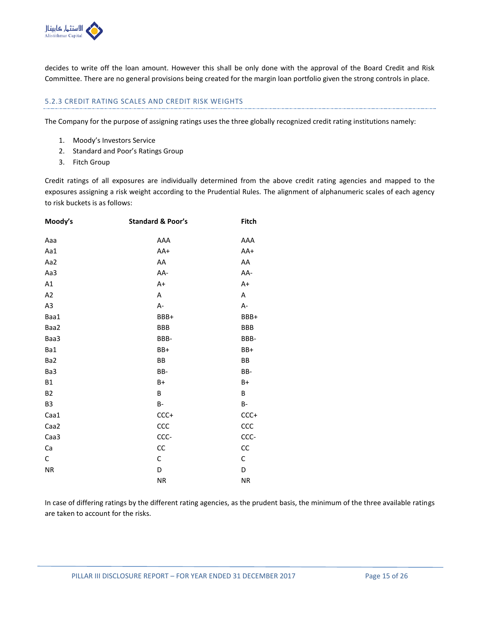

decides to write off the loan amount. However this shall be only done with the approval of the Board Credit and Risk Committee. There are no general provisions being created for the margin loan portfolio given the strong controls in place.

## 5.2.3 CREDIT RATING SCALES AND CREDIT RISK WEIGHTS

The Company for the purpose of assigning ratings uses the three globally recognized credit rating institutions namely:

- 1. Moody's Investors Service
- 2. Standard and Poor's Ratings Group
- 3. Fitch Group

Credit ratings of all exposures are individually determined from the above credit rating agencies and mapped to the exposures assigning a risk weight according to the Prudential Rules. The alignment of alphanumeric scales of each agency to risk buckets is as follows:

| Moody's        | <b>Standard &amp; Poor's</b> | <b>Fitch</b> |
|----------------|------------------------------|--------------|
| Aaa            | AAA                          | AAA          |
| Aa1            | AA+                          | AA+          |
| Aa2            | AA                           | AA           |
| Aa3            | AA-                          | AA-          |
| A1             | A+                           | $A+$         |
| A2             | Α                            | Α            |
| A <sub>3</sub> | A-                           | A-           |
| Baa1           | BBB+                         | BBB+         |
| Baa2           | <b>BBB</b>                   | <b>BBB</b>   |
| Baa3           | BBB-                         | BBB-         |
| Ba1            | BB+                          | BB+          |
| Ba2            | BB                           | BB           |
| Ba3            | BB-                          | BB-          |
| <b>B1</b>      | $B+$                         | $B+$         |
| <b>B2</b>      | B                            | B            |
| B <sub>3</sub> | <b>B-</b>                    | <b>B-</b>    |
| Caa1           | $CCC+$                       | $CCC+$       |
| Caa2           | ccc                          | ccc          |
| Caa3           | CCC-                         | CCC-         |
| Ca             | CC                           | CC           |
| C              | С                            | С            |
| <b>NR</b>      | D                            | D            |
|                | <b>NR</b>                    | <b>NR</b>    |

In case of differing ratings by the different rating agencies, as the prudent basis, the minimum of the three available ratings are taken to account for the risks.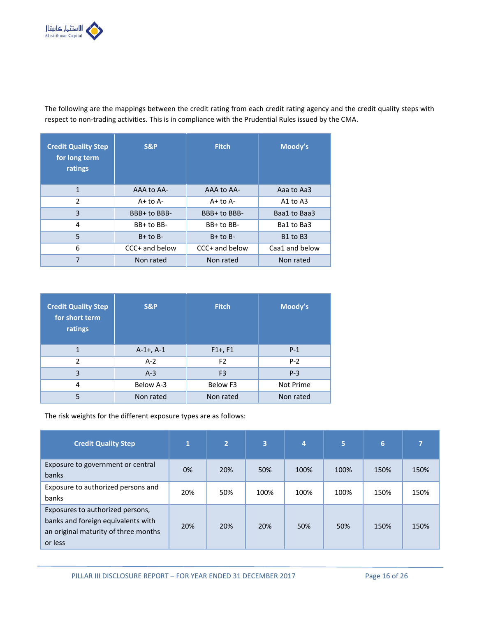

The following are the mappings between the credit rating from each credit rating agency and the credit quality steps with respect to non-trading activities. This is in compliance with the Prudential Rules issued by the CMA.

| <b>Credit Quality Step</b><br>for long term<br>ratings | <b>S&amp;P</b> | <b>Fitch</b>   | Moody's                          |
|--------------------------------------------------------|----------------|----------------|----------------------------------|
| 1                                                      | AAA to AA-     | AAA to AA-     | Aaa to Aa3                       |
| $\overline{2}$                                         | $A+$ to $A-$   | $A+$ to $A-$   | A1 to $A3$                       |
| 3                                                      | BBB+ to BBB-   | BBB+ to BBB-   | Baa1 to Baa3                     |
| 4                                                      | BB+ to BB-     | BB+ to BB-     | Ba1 to Ba3                       |
| 5                                                      | $B+$ to $B-$   | $B+$ to $B-$   | B <sub>1</sub> to B <sub>3</sub> |
| 6                                                      | CCC+ and below | CCC+ and below | Caa1 and below                   |
| 7                                                      | Non rated      | Non rated      | Non rated                        |

| <b>Credit Quality Step</b><br>for short term<br>ratings | S&P            | <b>Fitch</b>   | Moody's   |  |  |
|---------------------------------------------------------|----------------|----------------|-----------|--|--|
| 1                                                       | $A-1+$ , $A-1$ | $F1+, F1$      | $P-1$     |  |  |
| $\mathfrak z$                                           | $A-2$          | F <sub>2</sub> | $P-2$     |  |  |
| 3                                                       | $A-3$          | F <sub>3</sub> | $P-3$     |  |  |
| 4                                                       | Below A-3      | Below F3       | Not Prime |  |  |
| 5                                                       | Non rated      | Non rated      | Non rated |  |  |

The risk weights for the different exposure types are as follows:

| <b>Credit Quality Step</b>                                                                                                | $\mathbf{1}$ | 2   | 3    | 4    | 5    | 6    | 7    |
|---------------------------------------------------------------------------------------------------------------------------|--------------|-----|------|------|------|------|------|
| Exposure to government or central<br>banks                                                                                | 0%           | 20% | 50%  | 100% | 100% | 150% | 150% |
| Exposure to authorized persons and<br>banks                                                                               | 20%          | 50% | 100% | 100% | 100% | 150% | 150% |
| Exposures to authorized persons,<br>banks and foreign equivalents with<br>an original maturity of three months<br>or less | 20%          | 20% | 20%  | 50%  | 50%  | 150% | 150% |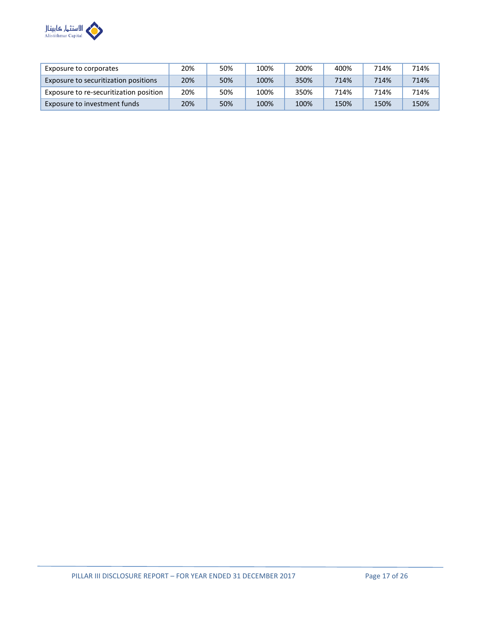

| Exposure to corporates                 | 20% | 50% | 100% | 200% | 400% | 714% | 714% |
|----------------------------------------|-----|-----|------|------|------|------|------|
| Exposure to securitization positions   | 20% | 50% | 100% | 350% | 714% | 714% | 714% |
| Exposure to re-securitization position | 20% | 50% | 100% | 350% | 714% | 714% | 714% |
| Exposure to investment funds           | 20% | 50% | 100% | 100% | 150% | 150% | 150% |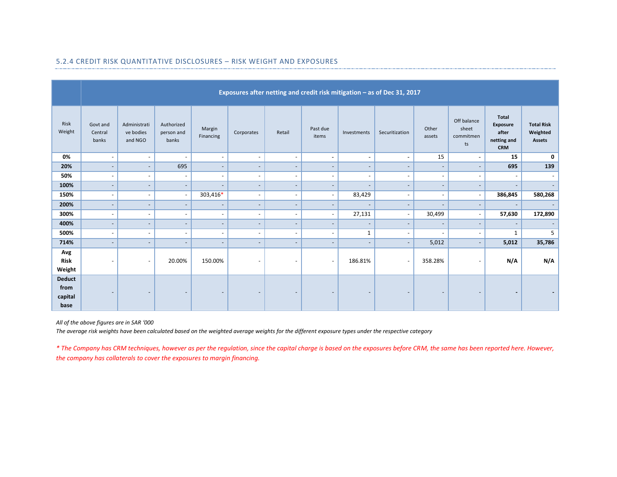|                                          | Exposures after netting and credit risk mitigation - as of Dec 31, 2017 |                                      |                                   |                          |                          |                          |                          |                          |                          |                              |                                         |                                                                |                                                |
|------------------------------------------|-------------------------------------------------------------------------|--------------------------------------|-----------------------------------|--------------------------|--------------------------|--------------------------|--------------------------|--------------------------|--------------------------|------------------------------|-----------------------------------------|----------------------------------------------------------------|------------------------------------------------|
| Risk<br>Weight                           | Govt and<br>Central<br>banks                                            | Administrati<br>ve bodies<br>and NGO | Authorized<br>person and<br>banks | Margin<br>Financing      | Corporates               | Retail                   | Past due<br>items        | Investments              | Securitization           | Other<br>assets              | Off balance<br>sheet<br>commitmen<br>ts | <b>Total</b><br>Exposure<br>after<br>netting and<br><b>CRM</b> | <b>Total Risk</b><br>Weighted<br><b>Assets</b> |
| 0%                                       | $\sim$                                                                  | $\sim$                               | $\overline{\phantom{a}}$          | $\overline{\phantom{a}}$ | $\overline{\phantom{a}}$ | $\overline{\phantom{a}}$ | $\sim$                   | $\sim$                   | $\blacksquare$           | 15                           | $\sim$                                  | 15                                                             | 0                                              |
| 20%                                      | $\sim$                                                                  | $\sim$                               | 695                               | $\overline{\phantom{a}}$ | $\overline{\phantom{a}}$ | $\overline{\phantom{a}}$ | $\overline{\phantom{a}}$ | $\overline{\phantom{a}}$ | $\sim$                   | $\overline{\phantom{a}}$     | $\overline{\phantom{a}}$                | 695                                                            | 139                                            |
| 50%                                      | $\overline{\phantom{a}}$                                                | $\sim$                               | $\sim$                            | $\overline{\phantom{a}}$ | $\overline{\phantom{a}}$ | $\overline{\phantom{a}}$ | $\overline{\phantom{a}}$ | $\overline{\phantom{a}}$ | $\overline{\phantom{a}}$ | $\overline{\phantom{a}}$     | $\overline{\phantom{a}}$                | $\overline{\phantom{a}}$                                       | $\overline{\phantom{0}}$                       |
| 100%                                     | $\sim$                                                                  | $\overline{\phantom{a}}$             | $\overline{\phantom{a}}$          |                          | $\overline{\phantom{a}}$ | $\overline{\phantom{a}}$ | $\overline{\phantom{a}}$ | $\sim$                   | $\overline{\phantom{a}}$ | $\overline{\phantom{a}}$     |                                         | $\overline{\phantom{a}}$                                       |                                                |
| 150%                                     | $\overline{\phantom{a}}$                                                | $\overline{\phantom{a}}$             | $\overline{\phantom{a}}$          | 303,416*                 | $\overline{\phantom{a}}$ | $\overline{\phantom{a}}$ | $\overline{\phantom{a}}$ | 83,429                   | $\overline{\phantom{a}}$ | $\overline{\phantom{a}}$     | $\overline{\phantom{a}}$                | 386,845                                                        | 580,268                                        |
| 200%                                     | $\overline{\phantom{a}}$                                                | $\overline{\phantom{a}}$             | $\overline{\phantom{a}}$          | $\overline{\phantom{a}}$ | $\overline{\phantom{a}}$ | $\overline{\phantom{a}}$ | $\overline{\phantom{a}}$ |                          | $\overline{\phantom{a}}$ | $\overline{\phantom{a}}$     | $\overline{\phantom{a}}$                | $\overline{\phantom{a}}$                                       |                                                |
| 300%                                     | $\sim$                                                                  | $\sim$                               | $\overline{\phantom{a}}$          | $\sim$                   | $\overline{\phantom{a}}$ | $\overline{\phantom{a}}$ | $\overline{\phantom{a}}$ | 27,131                   | $\overline{\phantom{a}}$ | 30,499                       | $\overline{\phantom{a}}$                | 57,630                                                         | 172,890                                        |
| 400%                                     | $\qquad \qquad \blacksquare$                                            | $\overline{\phantom{a}}$             | $\overline{\phantom{a}}$          | $\overline{\phantom{a}}$ | $\overline{\phantom{a}}$ | $\overline{\phantom{a}}$ | $\qquad \qquad -$        | $\overline{\phantom{a}}$ | $\overline{\phantom{a}}$ | $\overline{\phantom{a}}$     | $\overline{\phantom{a}}$                | $\overline{\phantom{a}}$                                       |                                                |
| 500%                                     | $\sim$                                                                  | $\sim$                               | $\overline{\phantom{a}}$          | $\blacksquare$           | $\overline{\phantom{a}}$ | $\overline{\phantom{a}}$ | $\overline{\phantom{a}}$ | $\mathbf{1}$             | $\overline{\phantom{a}}$ | $\overline{\phantom{a}}$     | $\overline{\phantom{a}}$                | $\mathbf{1}$                                                   | 5                                              |
| 714%                                     | $\overline{\phantom{a}}$                                                | $\overline{\phantom{a}}$             | $\overline{\phantom{a}}$          | $\overline{\phantom{a}}$ | $\overline{\phantom{a}}$ | $\overline{\phantom{a}}$ | $\overline{\phantom{a}}$ | $\overline{\phantom{a}}$ | $\sim$                   | 5,012                        | $\overline{\phantom{a}}$                | 5,012                                                          | 35,786                                         |
| Avg<br><b>Risk</b><br>Weight             | $\overline{\phantom{a}}$                                                | $\overline{\phantom{a}}$             | 20.00%                            | 150.00%                  | $\overline{\phantom{a}}$ | $\overline{\phantom{a}}$ | $\sim$                   | 186.81%                  | $\overline{\phantom{a}}$ | 358.28%                      |                                         | N/A                                                            | N/A                                            |
| <b>Deduct</b><br>from<br>capital<br>base | $\overline{\phantom{a}}$                                                | $\overline{\phantom{a}}$             | $\overline{\phantom{a}}$          | $\overline{\phantom{a}}$ | $\overline{\phantom{a}}$ | $\overline{\phantom{a}}$ | $\overline{\phantom{a}}$ | $\overline{\phantom{a}}$ | $\overline{\phantom{a}}$ | $\qquad \qquad \blacksquare$ | $\overline{\phantom{a}}$                | $\blacksquare$                                                 |                                                |

## 5.2.4 CREDIT RISK QUANTITATIVE DISCLOSURES – RISK WEIGHT AND EXPOSURES

*All of the above figures are in SAR '000*

*The average risk weights have been calculated based on the weighted average weights for the different exposure types under the respective category*

*\* The Company has CRM techniques, however as per the regulation, since the capital charge is based on the exposures before CRM, the same has been reported here. However, the company has collaterals to cover the exposures to margin financing.*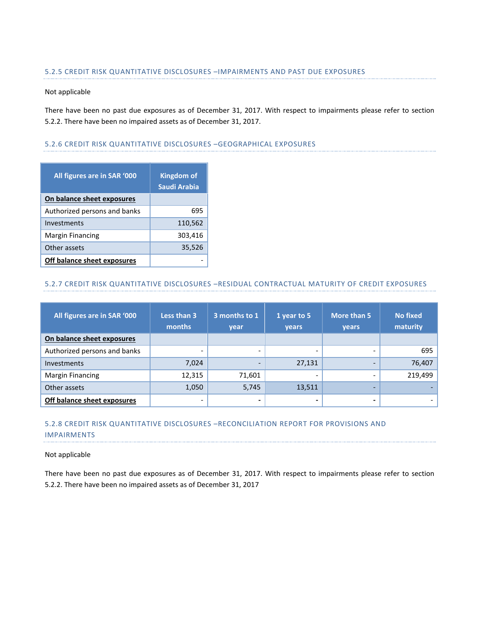#### 5.2.5 CREDIT RISK QUANTITATIVE DISCLOSURES –IMPAIRMENTS AND PAST DUE EXPOSURES

#### Not applicable

There have been no past due exposures as of December 31, 2017. With respect to impairments please refer to section 5.2.2. There have been no impaired assets as of December 31, 2017.

#### 5.2.6 CREDIT RISK QUANTITATIVE DISCLOSURES –GEOGRAPHICAL EXPOSURES

| All figures are in SAR '000  | <b>Kingdom of</b><br>Saudi Arabia |
|------------------------------|-----------------------------------|
| On balance sheet exposures   |                                   |
| Authorized persons and banks | 695                               |
| Investments                  | 110,562                           |
| <b>Margin Financing</b>      | 303,416                           |
| Other assets                 | 35,526                            |
| Off balance sheet exposures  |                                   |

## 5.2.7 CREDIT RISK QUANTITATIVE DISCLOSURES –RESIDUAL CONTRACTUAL MATURITY OF CREDIT EXPOSURES

| All figures are in SAR '000  | Less than 3<br>months    | 3 months to 1<br>vear | 1 year to 5<br>years | More than 5<br><b>vears</b> | <b>No fixed</b><br>maturity |  |
|------------------------------|--------------------------|-----------------------|----------------------|-----------------------------|-----------------------------|--|
| On balance sheet exposures   |                          |                       |                      |                             |                             |  |
| Authorized persons and banks | -                        |                       |                      |                             | 695                         |  |
| Investments                  | 7,024                    |                       | 27,131               |                             | 76,407                      |  |
| <b>Margin Financing</b>      | 12,315                   | 71,601                |                      |                             | 219,499                     |  |
| Other assets                 | 1,050                    | 5,745                 | 13,511               | -                           |                             |  |
| Off balance sheet exposures  | $\overline{\phantom{0}}$ | -                     |                      |                             |                             |  |

## 5.2.8 CREDIT RISK QUANTITATIVE DISCLOSURES –RECONCILIATION REPORT FOR PROVISIONS AND IMPAIRMENTS

#### Not applicable

There have been no past due exposures as of December 31, 2017. With respect to impairments please refer to section 5.2.2. There have been no impaired assets as of December 31, 2017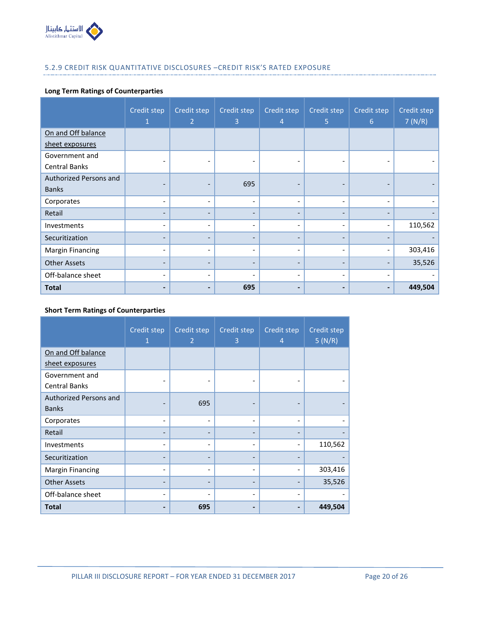

## 5.2.9 CREDIT RISK QUANTITATIVE DISCLOSURES –CREDIT RISK'S RATED EXPOSURE

## **Long Term Ratings of Counterparties**

|                         | Credit step<br>1         | Credit step<br>$\overline{2}$ | Credit step<br>3         | Credit step<br>4         | Credit step<br>5             | Credit step<br>$6\phantom{1}$ | Credit step<br>7(N/R) |
|-------------------------|--------------------------|-------------------------------|--------------------------|--------------------------|------------------------------|-------------------------------|-----------------------|
| On and Off balance      |                          |                               |                          |                          |                              |                               |                       |
| sheet exposures         |                          |                               |                          |                          |                              |                               |                       |
| Government and          |                          |                               |                          |                          |                              |                               |                       |
| <b>Central Banks</b>    |                          |                               |                          |                          |                              |                               |                       |
| Authorized Persons and  |                          | -                             | 695                      |                          | $\qquad \qquad$              |                               |                       |
| <b>Banks</b>            |                          |                               |                          |                          |                              |                               |                       |
| Corporates              | $\overline{\phantom{a}}$ | $\overline{\phantom{0}}$      | $\overline{\phantom{0}}$ | $\overline{\phantom{a}}$ | ٠                            | ٠                             |                       |
| Retail                  |                          | $\qquad \qquad$               |                          | $\overline{\phantom{0}}$ |                              |                               |                       |
| Investments             | $\overline{\phantom{a}}$ | $\qquad \qquad -$             | -                        | $\overline{\phantom{a}}$ | $\qquad \qquad \blacksquare$ | $\qquad \qquad \blacksquare$  | 110,562               |
| Securitization          |                          | -                             |                          | $\overline{\phantom{a}}$ |                              |                               |                       |
| <b>Margin Financing</b> | ٠                        | ٠                             | $\overline{\phantom{0}}$ | $\overline{\phantom{a}}$ | ٠                            | ٠                             | 303,416               |
| <b>Other Assets</b>     | $\overline{\phantom{0}}$ | $\overline{\phantom{0}}$      | $\overline{\phantom{0}}$ | $\qquad \qquad -$        | $\overline{\phantom{0}}$     | $\overline{\phantom{0}}$      | 35,526                |
| Off-balance sheet       | $\overline{\phantom{a}}$ | $\overline{\phantom{a}}$      | $\overline{\phantom{0}}$ | $\overline{\phantom{a}}$ | ۰                            | $\overline{\phantom{0}}$      |                       |
| <b>Total</b>            |                          |                               | 695                      |                          |                              |                               | 449,504               |

## **Short Term Ratings of Counterparties**

|                         | Credit step<br>1 | Credit step<br>$\overline{2}$ | Credit step<br>3 | Credit step<br>$\overline{4}$ | Credit step<br>5(N/R) |
|-------------------------|------------------|-------------------------------|------------------|-------------------------------|-----------------------|
| On and Off balance      |                  |                               |                  |                               |                       |
| sheet exposures         |                  |                               |                  |                               |                       |
| Government and          |                  |                               |                  |                               |                       |
| <b>Central Banks</b>    |                  |                               |                  |                               |                       |
| Authorized Persons and  |                  | 695                           |                  |                               |                       |
| <b>Banks</b>            |                  |                               |                  |                               |                       |
| Corporates              |                  | $\overline{\phantom{a}}$      | ۰                | $\overline{\phantom{a}}$      |                       |
| Retail                  |                  |                               |                  |                               |                       |
| Investments             |                  | $\qquad \qquad$               | ۰                | $\overline{\phantom{a}}$      | 110,562               |
| Securitization          |                  |                               |                  |                               |                       |
| <b>Margin Financing</b> |                  |                               |                  |                               | 303,416               |
| <b>Other Assets</b>     |                  |                               |                  |                               | 35,526                |
| Off-balance sheet       |                  |                               |                  | $\overline{\phantom{a}}$      |                       |
| Total                   |                  | 695                           |                  |                               | 449,504               |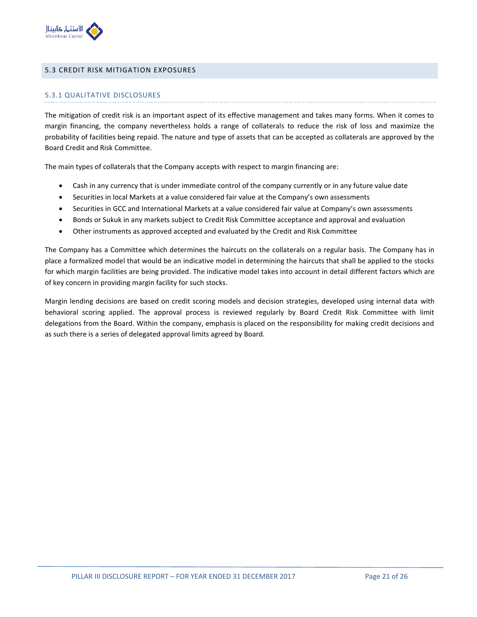

#### <span id="page-20-0"></span>5.3 CREDIT RISK MITIGATION EXPOSURES

#### 5.3.1 QUALITATIVE DISCLOSURES

The mitigation of credit risk is an important aspect of its effective management and takes many forms. When it comes to margin financing, the company nevertheless holds a range of collaterals to reduce the risk of loss and maximize the probability of facilities being repaid. The nature and type of assets that can be accepted as collaterals are approved by the Board Credit and Risk Committee.

The main types of collaterals that the Company accepts with respect to margin financing are:

- Cash in any currency that is under immediate control of the company currently or in any future value date
- Securities in local Markets at a value considered fair value at the Company's own assessments
- Securities in GCC and International Markets at a value considered fair value at Company's own assessments
- Bonds or Sukuk in any markets subject to Credit Risk Committee acceptance and approval and evaluation
- Other instruments as approved accepted and evaluated by the Credit and Risk Committee

The Company has a Committee which determines the haircuts on the collaterals on a regular basis. The Company has in place a formalized model that would be an indicative model in determining the haircuts that shall be applied to the stocks for which margin facilities are being provided. The indicative model takes into account in detail different factors which are of key concern in providing margin facility for such stocks.

Margin lending decisions are based on credit scoring models and decision strategies, developed using internal data with behavioral scoring applied. The approval process is reviewed regularly by Board Credit Risk Committee with limit delegations from the Board. Within the company, emphasis is placed on the responsibility for making credit decisions and as such there is a series of delegated approval limits agreed by Board.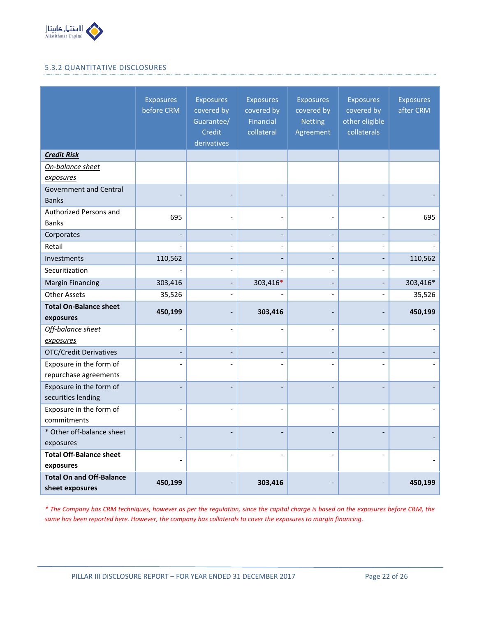

## 5.3.2 QUANTITATIVE DISCLOSURES

|                                                    | <b>Exposures</b><br>before CRM | <b>Exposures</b><br>covered by<br>Guarantee/<br>Credit<br>derivatives | <b>Exposures</b><br>covered by<br><b>Financial</b><br>collateral | <b>Exposures</b><br>covered by<br><b>Netting</b><br>Agreement | <b>Exposures</b><br>covered by<br>other eligible<br>collaterals | <b>Exposures</b><br>after CRM |
|----------------------------------------------------|--------------------------------|-----------------------------------------------------------------------|------------------------------------------------------------------|---------------------------------------------------------------|-----------------------------------------------------------------|-------------------------------|
| <b>Credit Risk</b>                                 |                                |                                                                       |                                                                  |                                                               |                                                                 |                               |
| On-balance sheet                                   |                                |                                                                       |                                                                  |                                                               |                                                                 |                               |
| exposures                                          |                                |                                                                       |                                                                  |                                                               |                                                                 |                               |
| <b>Government and Central</b><br><b>Banks</b>      |                                |                                                                       |                                                                  |                                                               |                                                                 |                               |
| Authorized Persons and                             | 695                            |                                                                       |                                                                  |                                                               |                                                                 | 695                           |
| <b>Banks</b>                                       |                                |                                                                       |                                                                  |                                                               |                                                                 |                               |
| Corporates                                         |                                |                                                                       |                                                                  |                                                               |                                                                 |                               |
| Retail                                             |                                |                                                                       |                                                                  | $\overline{a}$                                                |                                                                 |                               |
| Investments                                        | 110,562                        |                                                                       |                                                                  |                                                               |                                                                 | 110,562                       |
| Securitization                                     |                                |                                                                       |                                                                  | $\qquad \qquad -$                                             | $\overline{\phantom{a}}$                                        |                               |
| <b>Margin Financing</b>                            | 303,416                        |                                                                       | 303,416*                                                         |                                                               |                                                                 | 303,416*                      |
| <b>Other Assets</b>                                | 35,526                         |                                                                       |                                                                  |                                                               |                                                                 | 35,526                        |
| <b>Total On-Balance sheet</b><br>exposures         | 450,199                        |                                                                       | 303,416                                                          |                                                               |                                                                 | 450,199                       |
| Off-balance sheet<br>exposures                     |                                |                                                                       |                                                                  |                                                               |                                                                 |                               |
| <b>OTC/Credit Derivatives</b>                      |                                |                                                                       |                                                                  |                                                               |                                                                 |                               |
| Exposure in the form of<br>repurchase agreements   |                                |                                                                       |                                                                  |                                                               |                                                                 |                               |
| Exposure in the form of<br>securities lending      |                                |                                                                       |                                                                  |                                                               |                                                                 |                               |
| Exposure in the form of<br>commitments             | $\overline{\phantom{a}}$       |                                                                       |                                                                  |                                                               |                                                                 |                               |
| * Other off-balance sheet<br>exposures             |                                |                                                                       |                                                                  |                                                               |                                                                 |                               |
| <b>Total Off-Balance sheet</b><br>exposures        | $\overline{a}$                 |                                                                       |                                                                  |                                                               |                                                                 |                               |
| <b>Total On and Off-Balance</b><br>sheet exposures | 450,199                        |                                                                       | 303,416                                                          |                                                               |                                                                 | 450,199                       |

*\* The Company has CRM techniques, however as per the regulation, since the capital charge is based on the exposures before CRM, the same has been reported here. However, the company has collaterals to cover the exposures to margin financing.*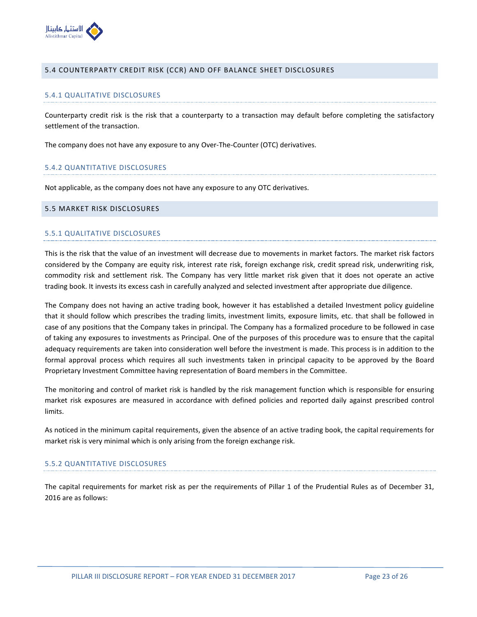

#### <span id="page-22-0"></span>5.4 COUNTERPARTY CREDIT RISK (CCR) AND OFF BALANCE SHEET DISCLOSURES

#### 5.4.1 QUALITATIVE DISCLOSURES

Counterparty credit risk is the risk that a counterparty to a transaction may default before completing the satisfactory settlement of the transaction.

The company does not have any exposure to any Over-The-Counter (OTC) derivatives.

#### 5.4.2 QUANTITATIVE DISCLOSURES

Not applicable, as the company does not have any exposure to any OTC derivatives.

#### <span id="page-22-1"></span>5.5 MARKET RISK DISCLOSURES

#### 5.5.1 QUALITATIVE DISCLOSURES

This is the risk that the value of an investment will decrease due to movements in market factors. The market risk factors considered by the Company are equity risk, interest rate risk, foreign exchange risk, credit spread risk, underwriting risk, commodity risk and settlement risk. The Company has very little market risk given that it does not operate an active trading book. It invests its excess cash in carefully analyzed and selected investment after appropriate due diligence.

The Company does not having an active trading book, however it has established a detailed Investment policy guideline that it should follow which prescribes the trading limits, investment limits, exposure limits, etc. that shall be followed in case of any positions that the Company takes in principal. The Company has a formalized procedure to be followed in case of taking any exposures to investments as Principal. One of the purposes of this procedure was to ensure that the capital adequacy requirements are taken into consideration well before the investment is made. This process is in addition to the formal approval process which requires all such investments taken in principal capacity to be approved by the Board Proprietary Investment Committee having representation of Board members in the Committee.

The monitoring and control of market risk is handled by the risk management function which is responsible for ensuring market risk exposures are measured in accordance with defined policies and reported daily against prescribed control limits.

As noticed in the minimum capital requirements, given the absence of an active trading book, the capital requirements for market risk is very minimal which is only arising from the foreign exchange risk.

### 5.5.2 QUANTITATIVE DISCLOSURES

The capital requirements for market risk as per the requirements of Pillar 1 of the Prudential Rules as of December 31, 2016 are as follows: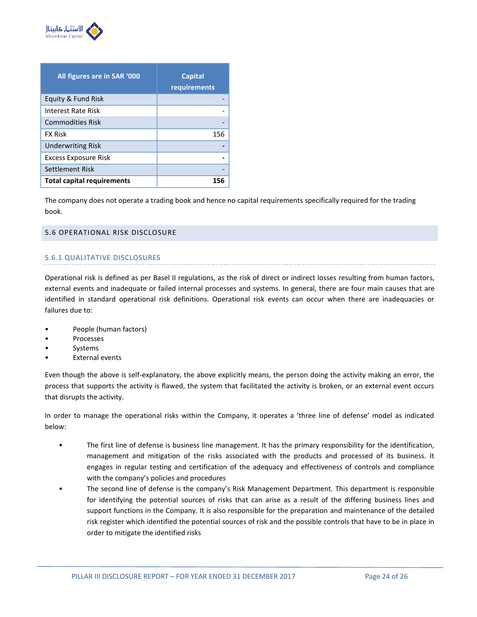

| All figures are in SAR '000       | <b>Capital</b><br>requirements |
|-----------------------------------|--------------------------------|
| Equity & Fund Risk                |                                |
| Interest Rate Risk                |                                |
| <b>Commodities Risk</b>           |                                |
| <b>FX Risk</b>                    | 156                            |
| <b>Underwriting Risk</b>          |                                |
| Excess Exposure Risk              |                                |
| Settlement Risk                   |                                |
| <b>Total capital requirements</b> | 156                            |

The company does not operate a trading book and hence no capital requirements specifically required for the trading book.

## <span id="page-23-0"></span>5.6 OPERATIONAL RISK DISCLOSURE

## 5.6.1 QUALITATIVE DISCLOSURES

Operational risk is defined as per Basel II regulations, as the risk of direct or indirect losses resulting from human factors, external events and inadequate or failed internal processes and systems. In general, there are four main causes that are identified in standard operational risk definitions. Operational risk events can occur when there are inadequacies or failures due to:

- People (human factors)
- **Processes**
- **Systems**
- **External events**

Even though the above is self-explanatory, the above explicitly means, the person doing the activity making an error, the process that supports the activity is flawed, the system that facilitated the activity is broken, or an external event occurs that disrupts the activity.

In order to manage the operational risks within the Company, it operates a 'three line of defense' model as indicated below:

- The first line of defense is business line management. It has the primary responsibility for the identification, management and mitigation of the risks associated with the products and processed of its business. It engages in regular testing and certification of the adequacy and effectiveness of controls and compliance with the company's policies and procedures
- The second line of defense is the company's Risk Management Department. This department is responsible for identifying the potential sources of risks that can arise as a result of the differing business lines and support functions in the Company. It is also responsible for the preparation and maintenance of the detailed risk register which identified the potential sources of risk and the possible controls that have to be in place in order to mitigate the identified risks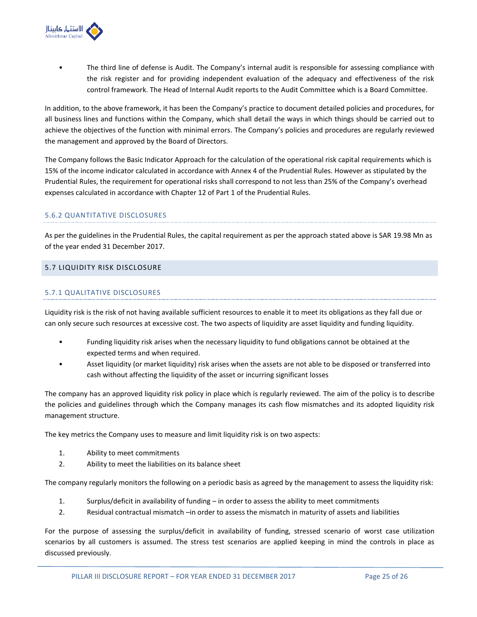

• The third line of defense is Audit. The Company's internal audit is responsible for assessing compliance with the risk register and for providing independent evaluation of the adequacy and effectiveness of the risk control framework. The Head of Internal Audit reports to the Audit Committee which is a Board Committee.

In addition, to the above framework, it has been the Company's practice to document detailed policies and procedures, for all business lines and functions within the Company, which shall detail the ways in which things should be carried out to achieve the objectives of the function with minimal errors. The Company's policies and procedures are regularly reviewed the management and approved by the Board of Directors.

The Company follows the Basic Indicator Approach for the calculation of the operational risk capital requirements which is 15% of the income indicator calculated in accordance with Annex 4 of the Prudential Rules. However as stipulated by the Prudential Rules, the requirement for operational risks shall correspond to not less than 25% of the Company's overhead expenses calculated in accordance with Chapter 12 of Part 1 of the Prudential Rules.

## 5.6.2 QUANTITATIVE DISCLOSURES

As per the guidelines in the Prudential Rules, the capital requirement as per the approach stated above is SAR 19.98 Mn as of the year ended 31 December 2017.

## <span id="page-24-0"></span>5.7 LIQUIDITY RISK DISCLOSURE

## 5.7.1 QUALITATIVE DISCLOSURES

Liquidity risk is the risk of not having available sufficient resources to enable it to meet its obligations as they fall due or can only secure such resources at excessive cost. The two aspects of liquidity are asset liquidity and funding liquidity.

- Funding liquidity risk arises when the necessary liquidity to fund obligations cannot be obtained at the expected terms and when required.
- Asset liquidity (or market liquidity) risk arises when the assets are not able to be disposed or transferred into cash without affecting the liquidity of the asset or incurring significant losses

The company has an approved liquidity risk policy in place which is regularly reviewed. The aim of the policy is to describe the policies and guidelines through which the Company manages its cash flow mismatches and its adopted liquidity risk management structure.

The key metrics the Company uses to measure and limit liquidity risk is on two aspects:

- 1. Ability to meet commitments
- 2. Ability to meet the liabilities on its balance sheet

The company regularly monitors the following on a periodic basis as agreed by the management to assess the liquidity risk:

- 1. Surplus/deficit in availability of funding in order to assess the ability to meet commitments
- 2. Residual contractual mismatch –in order to assess the mismatch in maturity of assets and liabilities

For the purpose of assessing the surplus/deficit in availability of funding, stressed scenario of worst case utilization scenarios by all customers is assumed. The stress test scenarios are applied keeping in mind the controls in place as discussed previously.